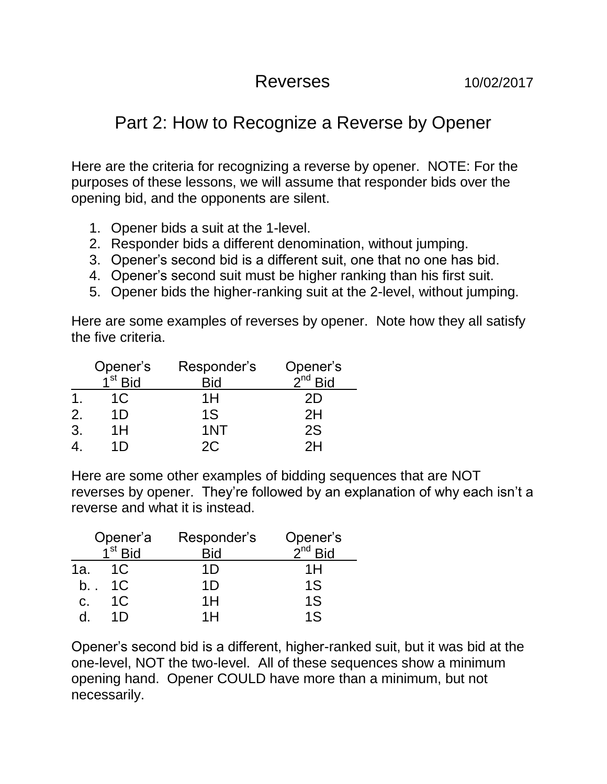## Reverses 10/02/2017

## Part 2: How to Recognize a Reverse by Opener

Here are the criteria for recognizing a reverse by opener. NOTE: For the purposes of these lessons, we will assume that responder bids over the opening bid, and the opponents are silent.

- 1. Opener bids a suit at the 1-level.
- 2. Responder bids a different denomination, without jumping.
- 3. Opener's second bid is a different suit, one that no one has bid.
- 4. Opener's second suit must be higher ranking than his first suit.
- 5. Opener bids the higher-ranking suit at the 2-level, without jumping.

Here are some examples of reverses by opener. Note how they all satisfy the five criteria.

|    | Opener's<br>1 <sup>st</sup> Bid | Responder's | Opener's<br>$2nd$ Bid |
|----|---------------------------------|-------------|-----------------------|
|    |                                 | Bid         |                       |
|    | 1C                              | 1H          | 2D                    |
| 2. | 1D                              | 1S          | 2H                    |
| 3. | 1H                              | 1NT         | 2S                    |
|    |                                 | 2C          |                       |

Here are some other examples of bidding sequences that are NOT reverses by opener. They're followed by an explanation of why each isn't a reverse and what it is instead.

|     | Opener'a            | Responder's | Opener's<br>2 <sup>nd</sup> Bid |
|-----|---------------------|-------------|---------------------------------|
|     | $1^{\text{st}}$ Rid | Bid         |                                 |
| 1a. | 1 <sup>C</sup>      | 1D          | 1H                              |
| b., | 1C                  | 1D          | 1S                              |
| C.  | 1 <sup>C</sup>      | 1H          | 1S                              |
|     | 11)                 | 1 H         | 1 <sub>S</sub>                  |

Opener's second bid is a different, higher-ranked suit, but it was bid at the one-level, NOT the two-level. All of these sequences show a minimum opening hand. Opener COULD have more than a minimum, but not necessarily.